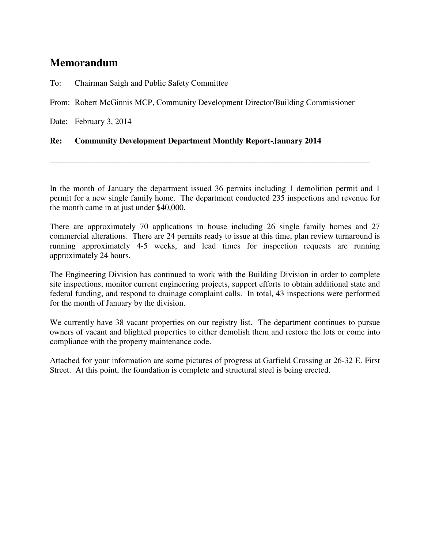## **Memorandum**

To: Chairman Saigh and Public Safety Committee

From: Robert McGinnis MCP, Community Development Director/Building Commissioner

Date: February 3, 2014

## **Re: Community Development Department Monthly Report-January 2014**

In the month of January the department issued 36 permits including 1 demolition permit and 1 permit for a new single family home. The department conducted 235 inspections and revenue for the month came in at just under \$40,000.

\_\_\_\_\_\_\_\_\_\_\_\_\_\_\_\_\_\_\_\_\_\_\_\_\_\_\_\_\_\_\_\_\_\_\_\_\_\_\_\_\_\_\_\_\_\_\_\_\_\_\_\_\_\_\_\_\_\_\_\_\_\_\_\_\_\_\_\_\_\_\_\_\_\_\_\_\_

There are approximately 70 applications in house including 26 single family homes and 27 commercial alterations. There are 24 permits ready to issue at this time, plan review turnaround is running approximately 4-5 weeks, and lead times for inspection requests are running approximately 24 hours.

The Engineering Division has continued to work with the Building Division in order to complete site inspections, monitor current engineering projects, support efforts to obtain additional state and federal funding, and respond to drainage complaint calls. In total, 43 inspections were performed for the month of January by the division.

We currently have 38 vacant properties on our registry list. The department continues to pursue owners of vacant and blighted properties to either demolish them and restore the lots or come into compliance with the property maintenance code.

Attached for your information are some pictures of progress at Garfield Crossing at 26-32 E. First Street. At this point, the foundation is complete and structural steel is being erected.